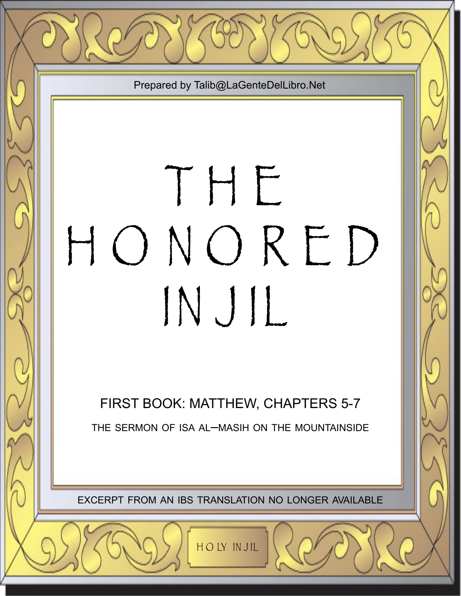

# T H E H O N O R E D IN J IL

FIRST BOOK: MATTHEW, CHAPTERS 5-7 THE SERMON OF ISA AL–MASIH ON THE MOUNTAINSIDE

EXCERPT FROM AN IBS TRANSLATION NO LONGER AVAILABLE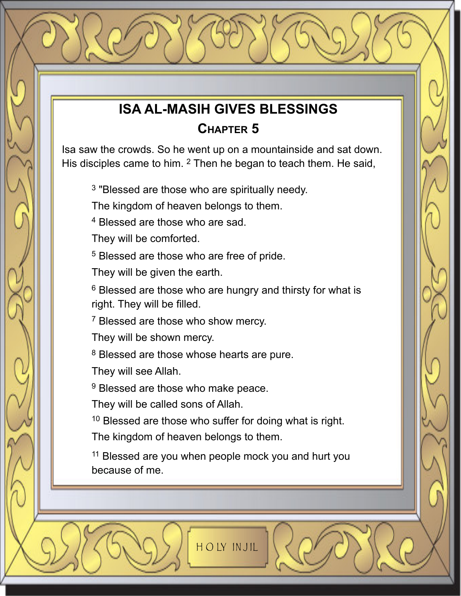# **ISA AL-MASIH GIVES BLESSINGS CHAPTER 5**

Isa saw the crowds. So he went up on a mountainside and sat down. His disciples came to him. <sup>2</sup> Then he began to teach them. He said,

<sup>3</sup> "Blessed are those who are spiritually needy.

The kingdom of heaven belongs to them.

<sup>4</sup> Blessed are those who are sad.

They will be comforted.

<sup>5</sup> Blessed are those who are free of pride.

They will be given the earth.

<sup>6</sup> Blessed are those who are hungry and thirsty for what is right. They will be filled.

<sup>7</sup> Blessed are those who show mercy.

They will be shown mercy.

<sup>8</sup> Blessed are those whose hearts are pure.

They will see Allah.

<sup>9</sup> Blessed are those who make peace.

They will be called sons of Allah.

<sup>10</sup> Blessed are those who suffer for doing what is right.

The kingdom of heaven belongs to them.

<sup>11</sup> Blessed are you when people mock you and hurt you because of me.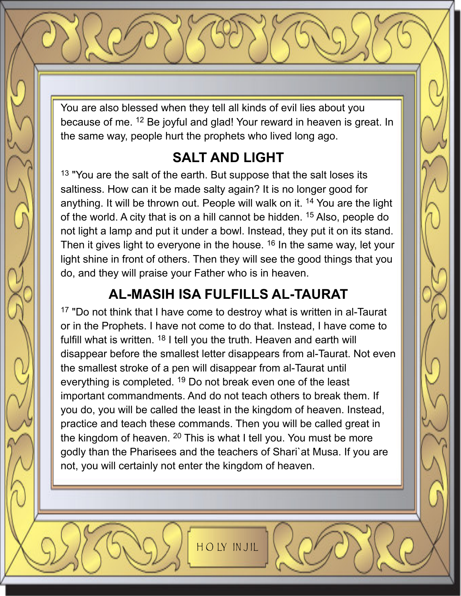You are also blessed when they tell all kinds of evil lies about you because of me. <sup>12</sup> Be joyful and glad! Your reward in heaven is great. In the same way, people hurt the prophets who lived long ago.

# **SALT AND LIGHT**

<sup>13</sup> "You are the salt of the earth. But suppose that the salt loses its saltiness. How can it be made salty again? It is no longer good for anything. It will be thrown out. People will walk on it. <sup>14</sup> You are the light of the world. A city that is on a hill cannot be hidden. <sup>15</sup> Also, people do not light a lamp and put it under a bowl. Instead, they put it on its stand. Then it gives light to everyone in the house. <sup>16</sup> In the same way, let your light shine in front of others. Then they will see the good things that you do, and they will praise your Father who is in heaven.

# **AL-MASIH ISA FULFILLS AL-TAURAT**

<sup>17</sup> "Do not think that I have come to destroy what is written in al-Taurat or in the Prophets. I have not come to do that. Instead, I have come to fulfill what is written. <sup>18</sup> I tell you the truth. Heaven and earth will disappear before the smallest letter disappears from al-Taurat. Not even the smallest stroke of a pen will disappear from al-Taurat until everything is completed. <sup>19</sup> Do not break even one of the least important commandments. And do not teach others to break them. If you do, you will be called the least in the kingdom of heaven. Instead, practice and teach these commands. Then you will be called great in the kingdom of heaven.  $20$  This is what I tell you. You must be more godly than the Pharisees and the teachers of Shari`at Musa. If you are not, you will certainly not enter the kingdom of heaven.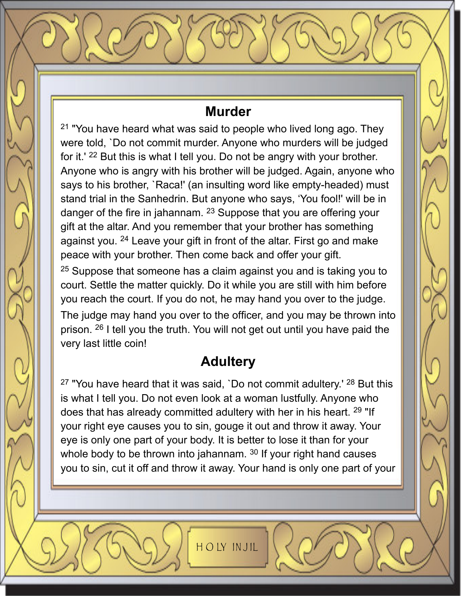## **Murder**

<sup>21</sup> "You have heard what was said to people who lived long ago. They were told, `Do not commit murder. Anyone who murders will be judged for it.' <sup>22</sup> But this is what I tell you. Do not be angry with your brother. Anyone who is angry with his brother will be judged. Again, anyone who says to his brother, `Raca!' (an insulting word like empty-headed) must stand trial in the Sanhedrin. But anyone who says, 'You fool!' will be in danger of the fire in jahannam. <sup>23</sup> Suppose that you are offering your gift at the altar. And you remember that your brother has something against you. <sup>24</sup> Leave your gift in front of the altar. First go and make peace with your brother. Then come back and offer your gift.

<sup>25</sup> Suppose that someone has a claim against you and is taking you to court. Settle the matter quickly. Do it while you are still with him before you reach the court. If you do not, he may hand you over to the judge. The judge may hand you over to the officer, and you may be thrown into prison. <sup>26</sup> I tell you the truth. You will not get out until you have paid the very last little coin!

# **Adultery**

 $27$  "You have heard that it was said, 'Do not commit adultery.'  $28$  But this is what I tell you. Do not even look at a woman lustfully. Anyone who does that has already committed adultery with her in his heart. <sup>29</sup> "If your right eye causes you to sin, gouge it out and throw it away. Your eye is only one part of your body. It is better to lose it than for your whole body to be thrown into jahannam. <sup>30</sup> If your right hand causes you to sin, cut it off and throw it away. Your hand is only one part of your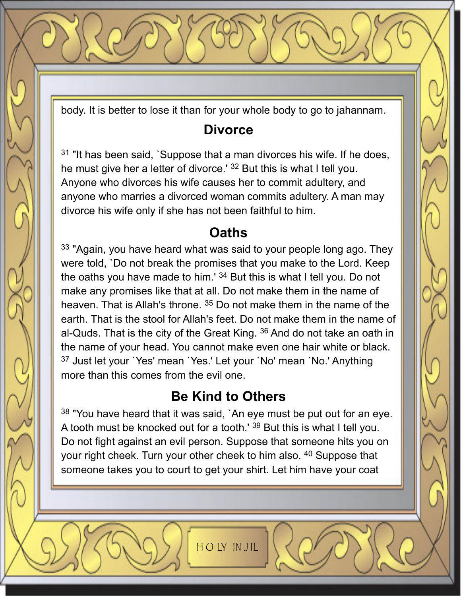body. It is better to lose it than for your whole body to go to jahannam.

## **Divorce**

 $31$  "It has been said, `Suppose that a man divorces his wife. If he does, he must give her a letter of divorce.' <sup>32</sup> But this is what I tell you. Anyone who divorces his wife causes her to commit adultery, and anyone who marries a divorced woman commits adultery. A man may divorce his wife only if she has not been faithful to him.

## **Oaths**

<sup>33</sup> "Again, you have heard what was said to your people long ago. They were told, `Do not break the promises that you make to the Lord. Keep the oaths you have made to him.' <sup>34</sup> But this is what I tell you. Do not make any promises like that at all. Do not make them in the name of heaven. That is Allah's throne. <sup>35</sup> Do not make them in the name of the earth. That is the stool for Allah's feet. Do not make them in the name of al-Quds. That is the city of the Great King. <sup>36</sup> And do not take an oath in the name of your head. You cannot make even one hair white or black. <sup>37</sup> Just let your `Yes' mean `Yes.' Let your `No' mean `No.' Anything more than this comes from the evil one.

## **Be Kind to Others**

38 "You have heard that it was said, `An eye must be put out for an eye. A tooth must be knocked out for a tooth.' <sup>39</sup> But this is what I tell you. Do not fight against an evil person. Suppose that someone hits you on your right cheek. Turn your other cheek to him also. <sup>40</sup> Suppose that someone takes you to court to get your shirt. Let him have your coat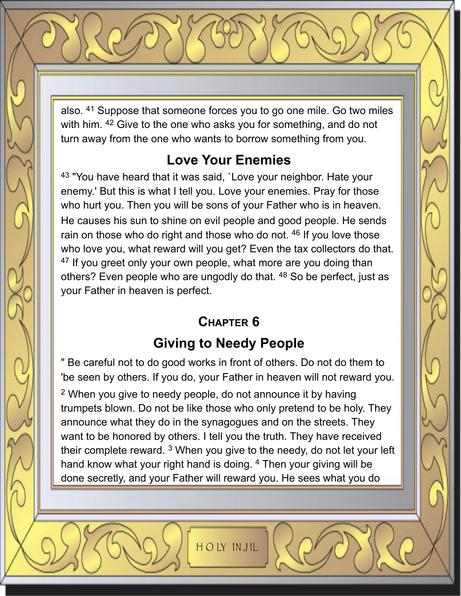also. <sup>41</sup> Suppose that someone forces you to go one mile. Go two miles with him. <sup>42</sup> Give to the one who asks you for something, and do not turn away from the one who wants to borrow something from you.

# **Love Your Enemies**

43 "You have heard that it was said, `Love your neighbor. Hate your enemy.' But this is what I tell you. Love your enemies. Pray for those who hurt you. Then you will be sons of your Father who is in heaven. He causes his sun to shine on evil people and good people. He sends rain on those who do right and those who do not. <sup>46</sup> If you love those who love you, what reward will you get? Even the tax collectors do that. <sup>47</sup> If you greet only your own people, what more are you doing than others? Even people who are ungodly do that. <sup>48</sup> So be perfect, just as your Father in heaven is perfect.

# **CHAPTER 6**

# **Giving to Needy People**

" Be careful not to do good works in front of others. Do not do them to 'be seen by others. If you do, your Father in heaven will not reward you. <sup>2</sup> When you give to needy people, do not announce it by having trumpets blown. Do not be like those who only pretend to be holy. They announce what they do in the synagogues and on the streets. They want to be honored by others. I tell you the truth. They have received their complete reward. <sup>3</sup> When you give to the needy, do not let your left hand know what your right hand is doing. <sup>4</sup> Then your giving will be done secretly, and your Father will reward you. He sees what you do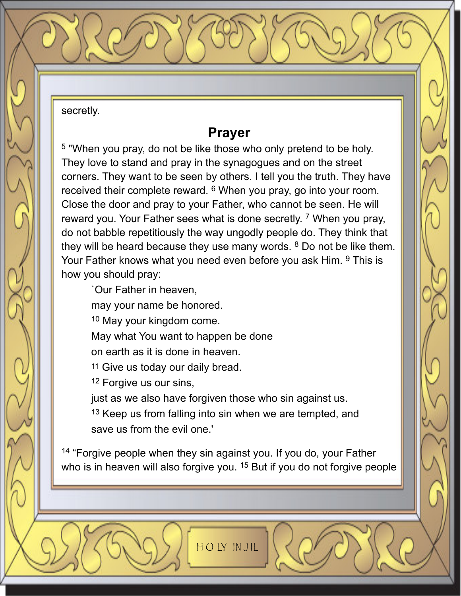secretly.

#### **Prayer**

<sup>5</sup> "When you pray, do not be like those who only pretend to be holy. They love to stand and pray in the synagogues and on the street corners. They want to be seen by others. I tell you the truth. They have received their complete reward. <sup>6</sup> When you pray, go into your room. Close the door and pray to your Father, who cannot be seen. He will reward you. Your Father sees what is done secretly. <sup>7</sup> When you pray, do not babble repetitiously the way ungodly people do. They think that they will be heard because they use many words. <sup>8</sup> Do not be like them. Your Father knows what you need even before you ask Him. <sup>9</sup> This is how you should pray:

`Our Father in heaven,

may your name be honored.

<sup>10</sup> May your kingdom come.

May what You want to happen be done

on earth as it is done in heaven.

11 Give us today our daily bread.

<sup>12</sup> Forgive us our sins,

just as we also have forgiven those who sin against us.

<sup>13</sup> Keep us from falling into sin when we are tempted, and save us from the evil one.'

<sup>14</sup> "Forgive people when they sin against you. If you do, your Father who is in heaven will also forgive you. <sup>15</sup> But if you do not forgive people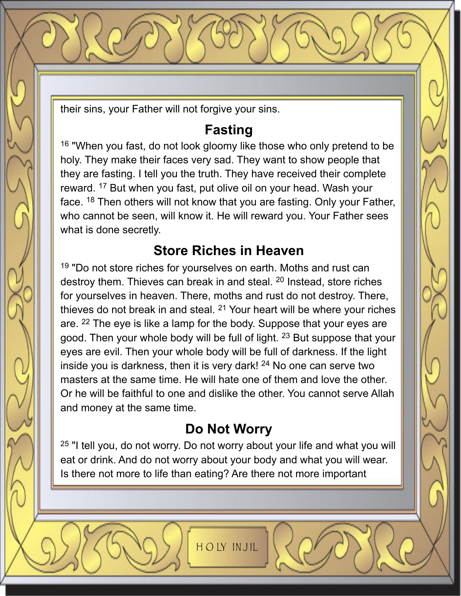their sins, your Father will not forgive your sins.

# **Fasting**

<sup>16</sup> "When you fast, do not look gloomy like those who only pretend to be holy. They make their faces very sad. They want to show people that they are fasting. I tell you the truth. They have received their complete reward. <sup>17</sup> But when you fast, put olive oil on your head. Wash your face. <sup>18</sup> Then others will not know that you are fasting. Only your Father, who cannot be seen, will know it. He will reward you. Your Father sees what is done secretly.

# **Store Riches in Heaven**

<sup>19</sup> "Do not store riches for yourselves on earth. Moths and rust can destroy them. Thieves can break in and steal. <sup>20</sup> Instead, store riches for yourselves in heaven. There, moths and rust do not destroy. There, thieves do not break in and steal. <sup>21</sup> Your heart will be where your riches are. <sup>22</sup> The eye is like a lamp for the body. Suppose that your eyes are good. Then your whole body will be full of light. <sup>23</sup> But suppose that your eyes are evil. Then your whole body will be full of darkness. If the light inside you is darkness, then it is very dark! <sup>24</sup> No one can serve two masters at the same time. He will hate one of them and love the other. Or he will be faithful to one and dislike the other. You cannot serve Allah and money at the same time.

# **Do Not Worry**

<sup>25</sup> "I tell you, do not worry. Do not worry about your life and what you will eat or drink. And do not worry about your body and what you will wear. Is there not more to life than eating? Are there not more important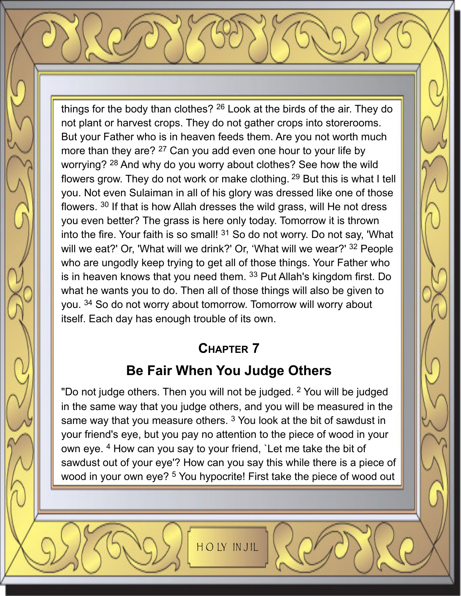things for the body than clothes? <sup>26</sup> Look at the birds of the air. They do not plant or harvest crops. They do not gather crops into storerooms. But your Father who is in heaven feeds them. Are you not worth much more than they are? <sup>27</sup> Can you add even one hour to your life by worrying? <sup>28</sup> And why do you worry about clothes? See how the wild flowers grow. They do not work or make clothing. <sup>29</sup> But this is what I tell you. Not even Sulaiman in all of his glory was dressed like one of those flowers. <sup>30</sup> If that is how Allah dresses the wild grass, will He not dress you even better? The grass is here only today. Tomorrow it is thrown into the fire. Your faith is so small!  $31$  So do not worry. Do not say, 'What will we eat?' Or, 'What will we drink?' Or, 'What will we wear?' <sup>32</sup> People who are ungodly keep trying to get all of those things. Your Father who is in heaven knows that you need them. <sup>33</sup> Put Allah's kingdom first. Do what he wants you to do. Then all of those things will also be given to you. <sup>34</sup> So do not worry about tomorrow. Tomorrow will worry about itself. Each day has enough trouble of its own.

#### **CHAPTER 7**

# **Be Fair When You Judge Others**

"Do not judge others. Then you will not be judged. <sup>2</sup> You will be judged in the same way that you judge others, and you will be measured in the same way that you measure others.<sup>3</sup> You look at the bit of sawdust in your friend's eye, but you pay no attention to the piece of wood in your own eye. <sup>4</sup> How can you say to your friend, `Let me take the bit of sawdust out of your eye'? How can you say this while there is a piece of wood in your own eye? <sup>5</sup> You hypocrite! First take the piece of wood out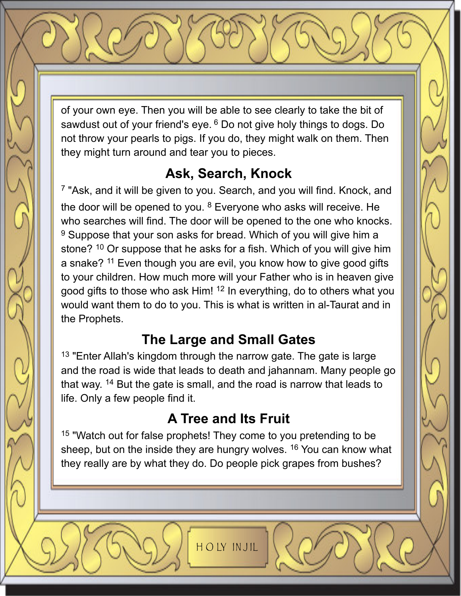of your own eye. Then you will be able to see clearly to take the bit of sawdust out of your friend's eye. <sup>6</sup> Do not give holy things to dogs. Do not throw your pearls to pigs. If you do, they might walk on them. Then they might turn around and tear you to pieces.

# **Ask, Search, Knock**

<sup>7</sup> "Ask, and it will be given to you. Search, and you will find. Knock, and the door will be opened to you. <sup>8</sup> Everyone who asks will receive. He who searches will find. The door will be opened to the one who knocks. <sup>9</sup> Suppose that your son asks for bread. Which of you will give him a stone? <sup>10</sup> Or suppose that he asks for a fish. Which of you will give him a snake? <sup>11</sup> Even though you are evil, you know how to give good gifts to your children. How much more will your Father who is in heaven give good gifts to those who ask Him! <sup>12</sup> In everything, do to others what you would want them to do to you. This is what is written in al-Taurat and in the Prophets.

# **The Large and Small Gates**

 $13$  "Enter Allah's kingdom through the narrow gate. The gate is large and the road is wide that leads to death and jahannam. Many people go that way. <sup>14</sup> But the gate is small, and the road is narrow that leads to life. Only a few people find it.

# **A Tree and Its Fruit**

<sup>15</sup> "Watch out for false prophets! They come to you pretending to be sheep, but on the inside they are hungry wolves. <sup>16</sup> You can know what they really are by what they do. Do people pick grapes from bushes?